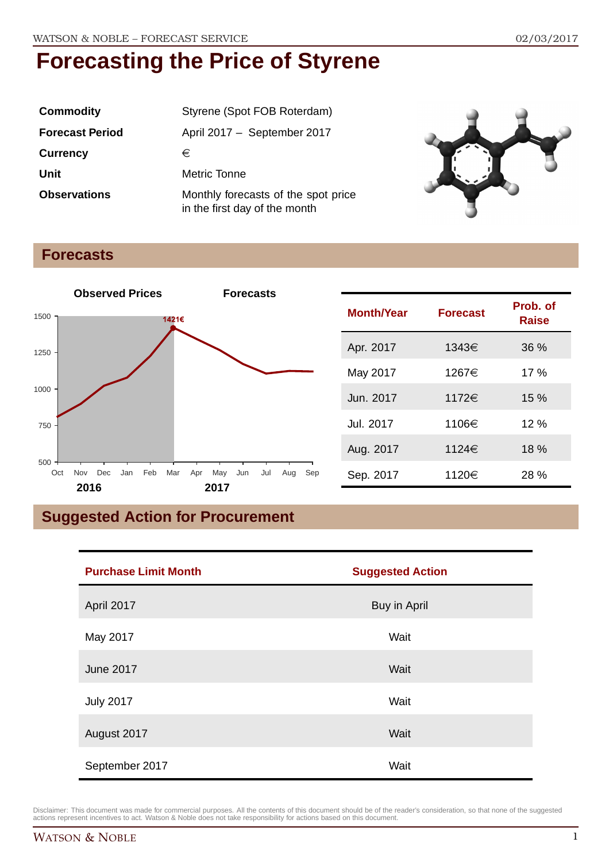| <b>Commodity</b>       | Styrene (Spot FOB Roterdam)                                          |
|------------------------|----------------------------------------------------------------------|
| <b>Forecast Period</b> | April 2017 - September 2017                                          |
| <b>Currency</b>        | €                                                                    |
| Unit                   | Metric Tonne                                                         |
| <b>Observations</b>    | Monthly forecasts of the spot price<br>in the first day of the month |



### **Forecasts**



| <b>Month/Year</b> | <b>Forecast</b> | Prob. of<br><b>Raise</b> |
|-------------------|-----------------|--------------------------|
| Apr. 2017         | 1343€           | 36%                      |
| May 2017          | 1267€           | 17%                      |
| Jun. 2017         | 1172€           | 15%                      |
| Jul. 2017         | 1106€           | 12%                      |
| Aug. 2017         | 1124€           | 18%                      |
| Sep. 2017         | 1120€           | 28%                      |

# **Suggested Action for Procurement**

| <b>Purchase Limit Month</b> | <b>Suggested Action</b> |
|-----------------------------|-------------------------|
| April 2017                  | Buy in April            |
| May 2017                    | Wait                    |
| <b>June 2017</b>            | Wait                    |
| <b>July 2017</b>            | Wait                    |
| August 2017                 | Wait                    |
| September 2017              | Wait                    |

Disclaimer: This document was made for commercial purposes. All the contents of this document should be of the reader's consideration, so that none of the suggested<br>actions represent incentives to act. Watson & Noble does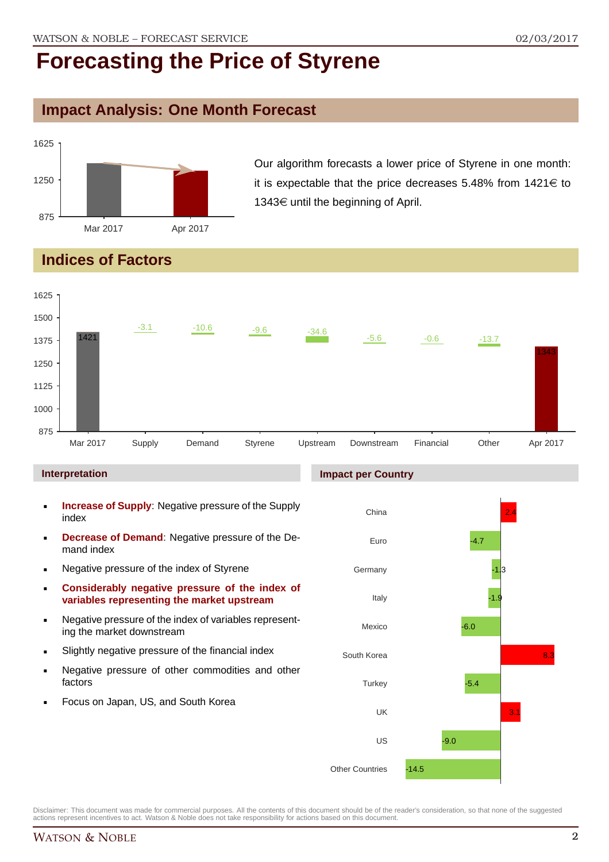### **Impact Analysis: One Month Forecast**



Our algorithm forecasts a lower price of Styrene in one month: it is expectable that the price decreases 5.48% from  $1421 \in$  to 1343 $\in$  until the beginning of April.

## **Indices of Factors**



#### **Interpretation**

- **Increase of Supply**: Negative pressure of the Supply index
- **Decrease of Demand**: Negative pressure of the Demand index
- **Negative pressure of the index of Styrene**
- **Considerably negative pressure of the index of variables representing the market upstream**
- Negative pressure of the index of variables representing the market downstream
- Slightly negative pressure of the financial index
- **Negative pressure of other commodities and other** factors
- Focus on Japan, US, and South Korea

#### **Impact per Country**

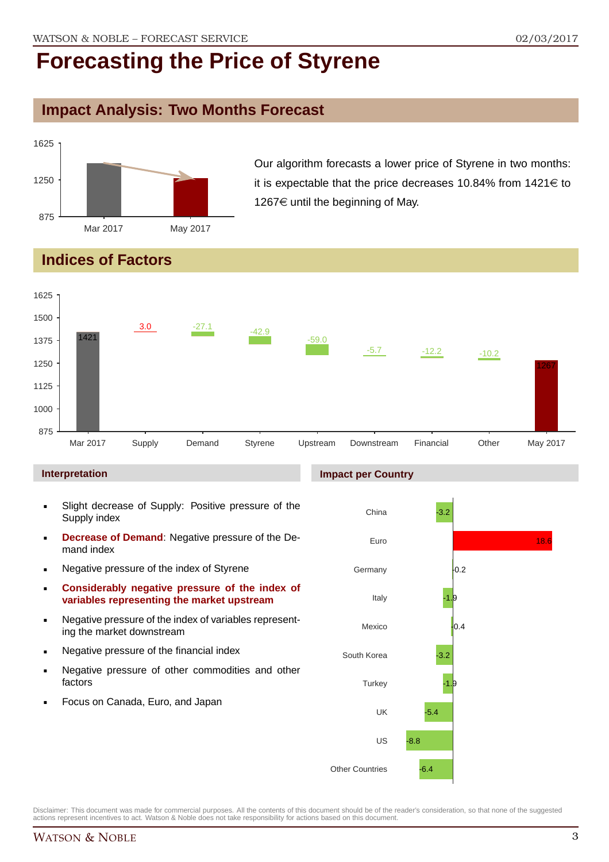## **Impact Analysis: Two Months Forecast**



Our algorithm forecasts a lower price of Styrene in two months: it is expectable that the price decreases 10.84% from  $1421 \in$  to 1267 $\epsilon$  until the beginning of May.

# **Indices of Factors**



#### **Interpretation**

- Slight decrease of Supply: Positive pressure of the Supply index
- **Decrease of Demand**: Negative pressure of the Demand index
- **Negative pressure of the index of Styrene**
- **Considerably negative pressure of the index of variables representing the market upstream**
- Negative pressure of the index of variables representing the market downstream
- **Negative pressure of the financial index**
- **Negative pressure of other commodities and other** factors
- Focus on Canada, Euro, and Japan

#### **Impact per Country**

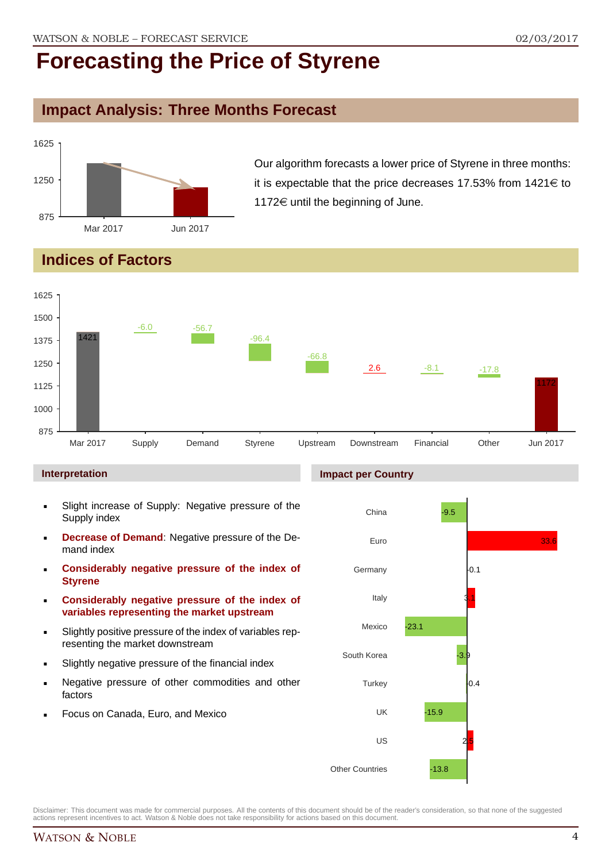## **Impact Analysis: Three Months Forecast**



Our algorithm forecasts a lower price of Styrene in three months: it is expectable that the price decreases 17.53% from  $1421 \in$  to 1172 $\in$  until the beginning of June.

# **Indices of Factors**



#### **Interpretation**

- Slight increase of Supply: Negative pressure of the Supply index
- **Decrease of Demand**: Negative pressure of the Demand index
- **Considerably negative pressure of the index of Styrene**
- **Considerably negative pressure of the index of variables representing the market upstream**
- Slightly positive pressure of the index of variables representing the market downstream
- Slightly negative pressure of the financial index
- Negative pressure of other commodities and other factors
- Focus on Canada, Euro, and Mexico

#### **Impact per Country**

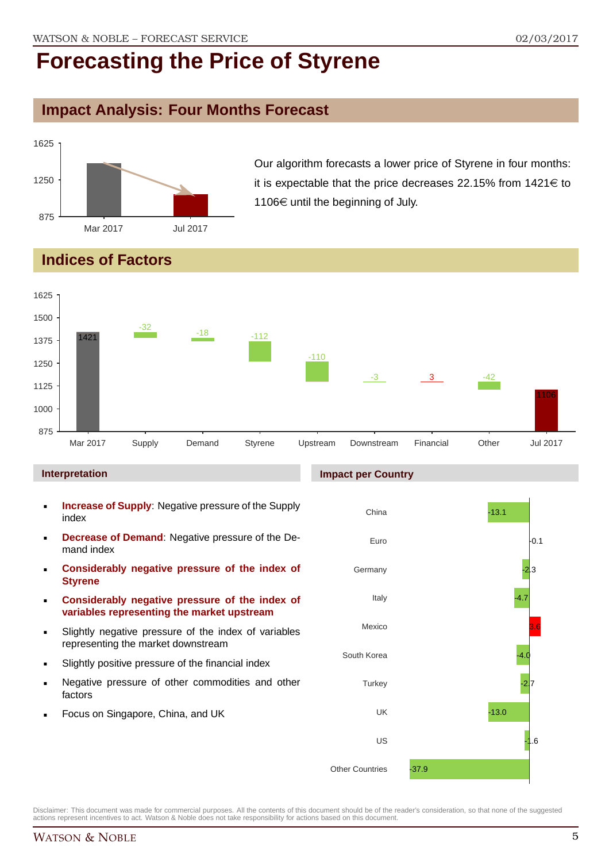## **Impact Analysis: Four Months Forecast**



Our algorithm forecasts a lower price of Styrene in four months: it is expectable that the price decreases 22.15% from  $1421 \in$  to 1106 $\epsilon$  until the beginning of July.

# **Indices of Factors**



#### **Interpretation**

- **Increase of Supply**: Negative pressure of the Supply index
- **Decrease of Demand**: Negative pressure of the Demand index
- **Considerably negative pressure of the index of Styrene**
- **Considerably negative pressure of the index of variables representing the market upstream**
- Slightly negative pressure of the index of variables representing the market downstream
- Slightly positive pressure of the financial index
- Negative pressure of other commodities and other factors
- Focus on Singapore, China, and UK

#### **Impact per Country**

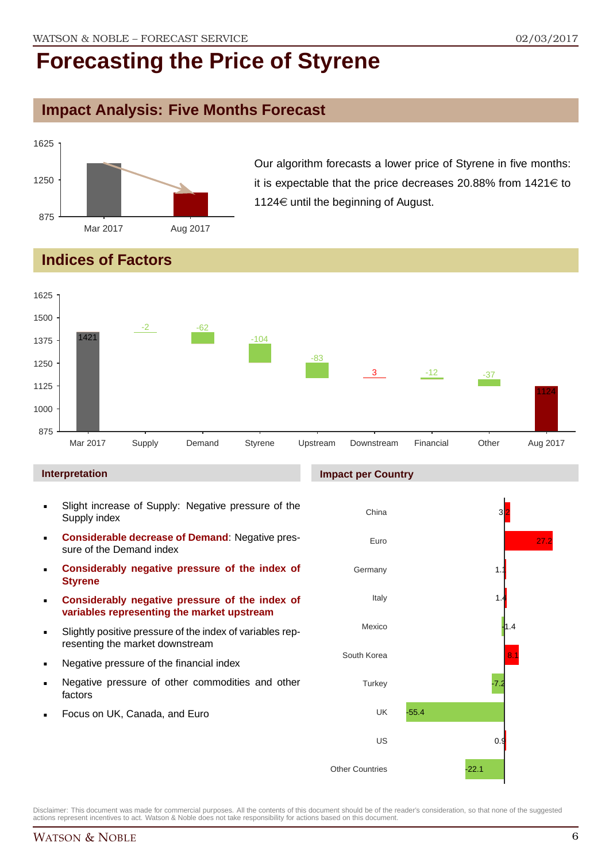## **Impact Analysis: Five Months Forecast**



Our algorithm forecasts a lower price of Styrene in five months: it is expectable that the price decreases 20.88% from  $1421 \in$  to 1124 $\in$  until the beginning of August.

# **Indices of Factors**



#### **Interpretation**

- Slight increase of Supply: Negative pressure of the Supply index
- **Considerable decrease of Demand**: Negative pressure of the Demand index
- **Considerably negative pressure of the index of Styrene**
- **Considerably negative pressure of the index of variables representing the market upstream**
- Slightly positive pressure of the index of variables representing the market downstream
- Negative pressure of the financial index
- Negative pressure of other commodities and other factors
- Focus on UK, Canada, and Euro

#### **Impact per Country**

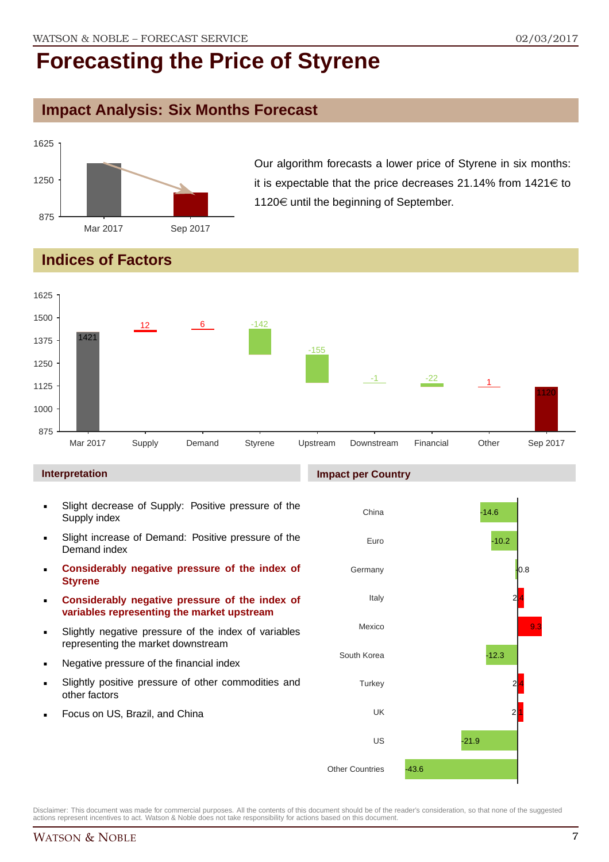## **Impact Analysis: Six Months Forecast**



Our algorithm forecasts a lower price of Styrene in six months: it is expectable that the price decreases 21.14% from  $1421 \in$  to 1120 $\in$  until the beginning of September.

## **Indices of Factors**



#### **Interpretation**

- Slight decrease of Supply: Positive pressure of the Supply index
- Slight increase of Demand: Positive pressure of the Demand index
- **Considerably negative pressure of the index of Styrene**
- **Considerably negative pressure of the index of variables representing the market upstream**
- Slightly negative pressure of the index of variables representing the market downstream
- Negative pressure of the financial index
- Slightly positive pressure of other commodities and other factors
- Focus on US, Brazil, and China

#### **Impact per Country**

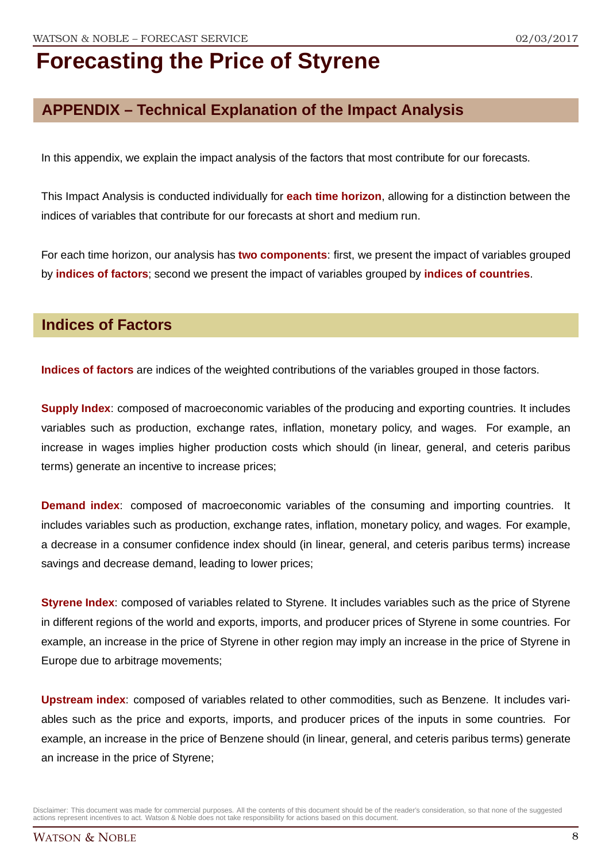# **APPENDIX – Technical Explanation of the Impact Analysis**

In this appendix, we explain the impact analysis of the factors that most contribute for our forecasts.

This Impact Analysis is conducted individually for **each time horizon**, allowing for a distinction between the indices of variables that contribute for our forecasts at short and medium run.

For each time horizon, our analysis has **two components**: first, we present the impact of variables grouped by **indices of factors**; second we present the impact of variables grouped by **indices of countries**.

### **Indices of Factors**

**Indices of factors** are indices of the weighted contributions of the variables grouped in those factors.

**Supply Index**: composed of macroeconomic variables of the producing and exporting countries. It includes variables such as production, exchange rates, inflation, monetary policy, and wages. For example, an increase in wages implies higher production costs which should (in linear, general, and ceteris paribus terms) generate an incentive to increase prices;

**Demand index**: composed of macroeconomic variables of the consuming and importing countries. It includes variables such as production, exchange rates, inflation, monetary policy, and wages. For example, a decrease in a consumer confidence index should (in linear, general, and ceteris paribus terms) increase savings and decrease demand, leading to lower prices;

**Styrene Index**: composed of variables related to Styrene. It includes variables such as the price of Styrene in different regions of the world and exports, imports, and producer prices of Styrene in some countries. For example, an increase in the price of Styrene in other region may imply an increase in the price of Styrene in Europe due to arbitrage movements;

**Upstream index**: composed of variables related to other commodities, such as Benzene. It includes variables such as the price and exports, imports, and producer prices of the inputs in some countries. For example, an increase in the price of Benzene should (in linear, general, and ceteris paribus terms) generate an increase in the price of Styrene;